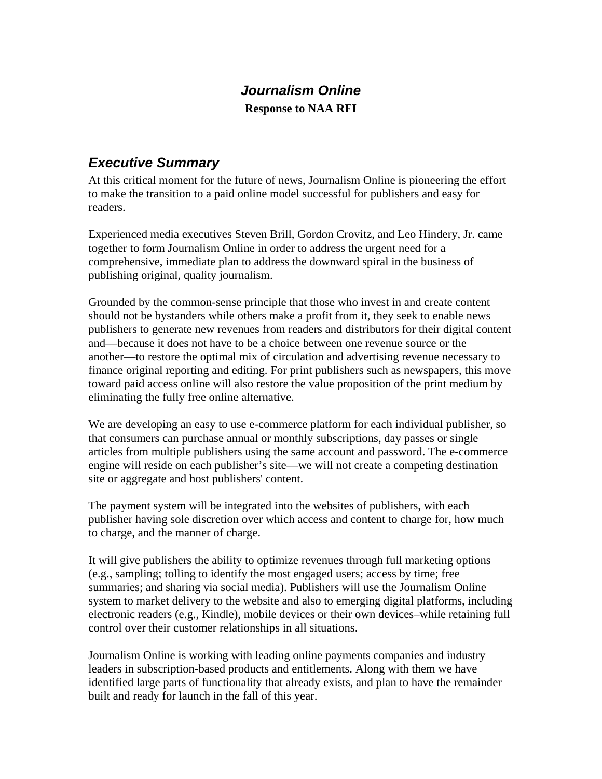## *Journalism Online*  **Response to NAA RFI**

## *Executive Summary*

At this critical moment for the future of news, Journalism Online is pioneering the effort to make the transition to a paid online model successful for publishers and easy for readers.

Experienced media executives Steven Brill, Gordon Crovitz, and Leo Hindery, Jr. came together to form Journalism Online in order to address the urgent need for a comprehensive, immediate plan to address the downward spiral in the business of publishing original, quality journalism.

Grounded by the common-sense principle that those who invest in and create content should not be bystanders while others make a profit from it, they seek to enable news publishers to generate new revenues from readers and distributors for their digital content and—because it does not have to be a choice between one revenue source or the another—to restore the optimal mix of circulation and advertising revenue necessary to finance original reporting and editing. For print publishers such as newspapers, this move toward paid access online will also restore the value proposition of the print medium by eliminating the fully free online alternative.

We are developing an easy to use e-commerce platform for each individual publisher, so that consumers can purchase annual or monthly subscriptions, day passes or single articles from multiple publishers using the same account and password. The e-commerce engine will reside on each publisher's site—we will not create a competing destination site or aggregate and host publishers' content.

The payment system will be integrated into the websites of publishers, with each publisher having sole discretion over which access and content to charge for, how much to charge, and the manner of charge.

It will give publishers the ability to optimize revenues through full marketing options (e.g., sampling; tolling to identify the most engaged users; access by time; free summaries; and sharing via social media). Publishers will use the Journalism Online system to market delivery to the website and also to emerging digital platforms, including electronic readers (e.g., Kindle), mobile devices or their own devices–while retaining full control over their customer relationships in all situations.

Journalism Online is working with leading online payments companies and industry leaders in subscription-based products and entitlements. Along with them we have identified large parts of functionality that already exists, and plan to have the remainder built and ready for launch in the fall of this year.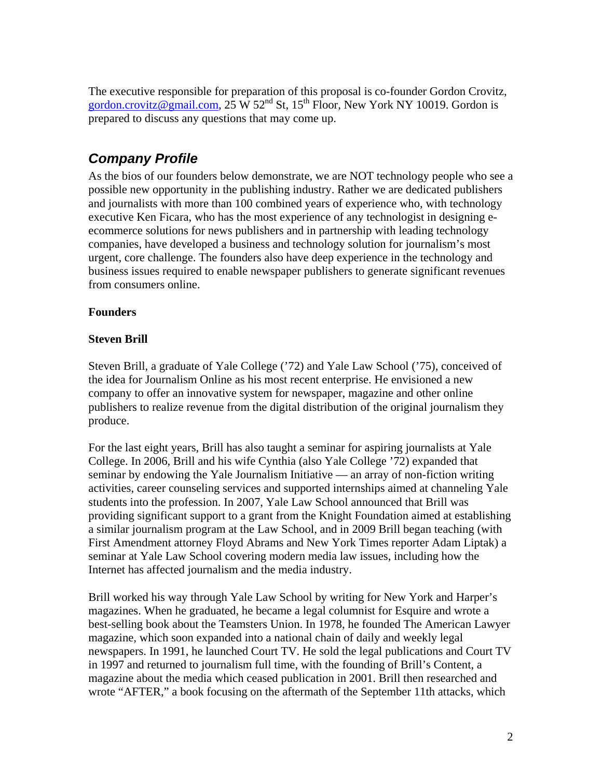The executive responsible for preparation of this proposal is co-founder Gordon Crovitz, [gordon.crovitz@gmail.com](mailto:gordon.crovitz@gmail.com),  $25 \text{ W } 52^{\text{nd}}$  St,  $15^{\text{th}}$  Floor, New York NY 10019. Gordon is prepared to discuss any questions that may come up.

# *Company Profile*

As the bios of our founders below demonstrate, we are NOT technology people who see a possible new opportunity in the publishing industry. Rather we are dedicated publishers and journalists with more than 100 combined years of experience who, with technology executive Ken Ficara, who has the most experience of any technologist in designing eecommerce solutions for news publishers and in partnership with leading technology companies, have developed a business and technology solution for journalism's most urgent, core challenge. The founders also have deep experience in the technology and business issues required to enable newspaper publishers to generate significant revenues from consumers online.

### **Founders**

### **Steven Brill**

Steven Brill, a graduate of Yale College ('72) and Yale Law School ('75), conceived of the idea for Journalism Online as his most recent enterprise. He envisioned a new company to offer an innovative system for newspaper, magazine and other online publishers to realize revenue from the digital distribution of the original journalism they produce.

For the last eight years, Brill has also taught a seminar for aspiring journalists at Yale College. In 2006, Brill and his wife Cynthia (also Yale College '72) expanded that seminar by endowing the Yale Journalism Initiative — an array of non-fiction writing activities, career counseling services and supported internships aimed at channeling Yale students into the profession. In 2007, Yale Law School announced that Brill was providing significant support to a grant from the Knight Foundation aimed at establishing a similar journalism program at the Law School, and in 2009 Brill began teaching (with First Amendment attorney Floyd Abrams and New York Times reporter Adam Liptak) a seminar at Yale Law School covering modern media law issues, including how the Internet has affected journalism and the media industry.

Brill worked his way through Yale Law School by writing for New York and Harper's magazines. When he graduated, he became a legal columnist for Esquire and wrote a best-selling book about the Teamsters Union. In 1978, he founded The American Lawyer magazine, which soon expanded into a national chain of daily and weekly legal newspapers. In 1991, he launched Court TV. He sold the legal publications and Court TV in 1997 and returned to journalism full time, with the founding of Brill's Content, a magazine about the media which ceased publication in 2001. Brill then researched and wrote "AFTER," a book focusing on the aftermath of the September 11th attacks, which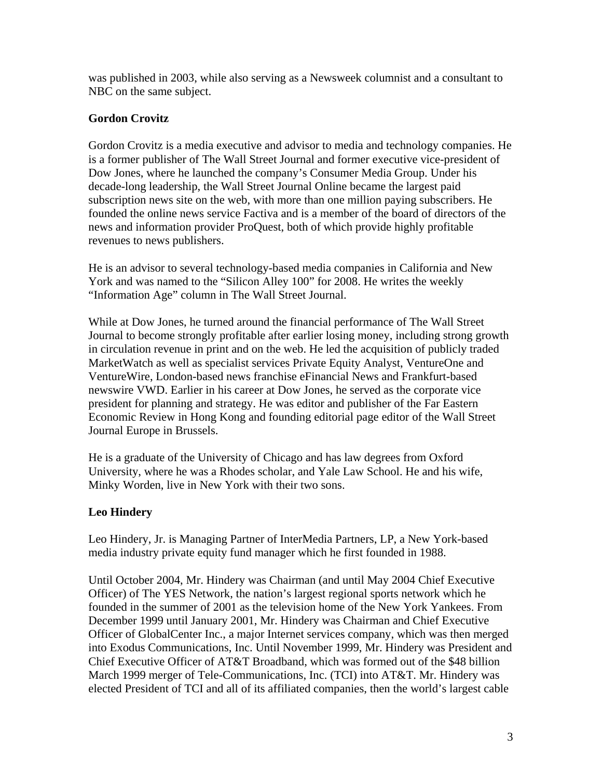was published in 2003, while also serving as a Newsweek columnist and a consultant to NBC on the same subject.

### **Gordon Crovitz**

Gordon Crovitz is a media executive and advisor to media and technology companies. He is a former publisher of The Wall Street Journal and former executive vice-president of Dow Jones, where he launched the company's Consumer Media Group. Under his decade-long leadership, the Wall Street Journal Online became the largest paid subscription news site on the web, with more than one million paying subscribers. He founded the online news service Factiva and is a member of the board of directors of the news and information provider ProQuest, both of which provide highly profitable revenues to news publishers.

He is an advisor to several technology-based media companies in California and New York and was named to the "Silicon Alley 100" for 2008. He writes the weekly "Information Age" column in The Wall Street Journal.

While at Dow Jones, he turned around the financial performance of The Wall Street Journal to become strongly profitable after earlier losing money, including strong growth in circulation revenue in print and on the web. He led the acquisition of publicly traded MarketWatch as well as specialist services Private Equity Analyst, VentureOne and VentureWire, London-based news franchise eFinancial News and Frankfurt-based newswire VWD. Earlier in his career at Dow Jones, he served as the corporate vice president for planning and strategy. He was editor and publisher of the Far Eastern Economic Review in Hong Kong and founding editorial page editor of the Wall Street Journal Europe in Brussels.

He is a graduate of the University of Chicago and has law degrees from Oxford University, where he was a Rhodes scholar, and Yale Law School. He and his wife, Minky Worden, live in New York with their two sons.

## **Leo Hindery**

Leo Hindery, Jr. is Managing Partner of InterMedia Partners, LP, a New York-based media industry private equity fund manager which he first founded in 1988.

Until October 2004, Mr. Hindery was Chairman (and until May 2004 Chief Executive Officer) of The YES Network, the nation's largest regional sports network which he founded in the summer of 2001 as the television home of the New York Yankees. From December 1999 until January 2001, Mr. Hindery was Chairman and Chief Executive Officer of GlobalCenter Inc., a major Internet services company, which was then merged into Exodus Communications, Inc. Until November 1999, Mr. Hindery was President and Chief Executive Officer of AT&T Broadband, which was formed out of the \$48 billion March 1999 merger of Tele-Communications, Inc. (TCI) into AT&T. Mr. Hindery was elected President of TCI and all of its affiliated companies, then the world's largest cable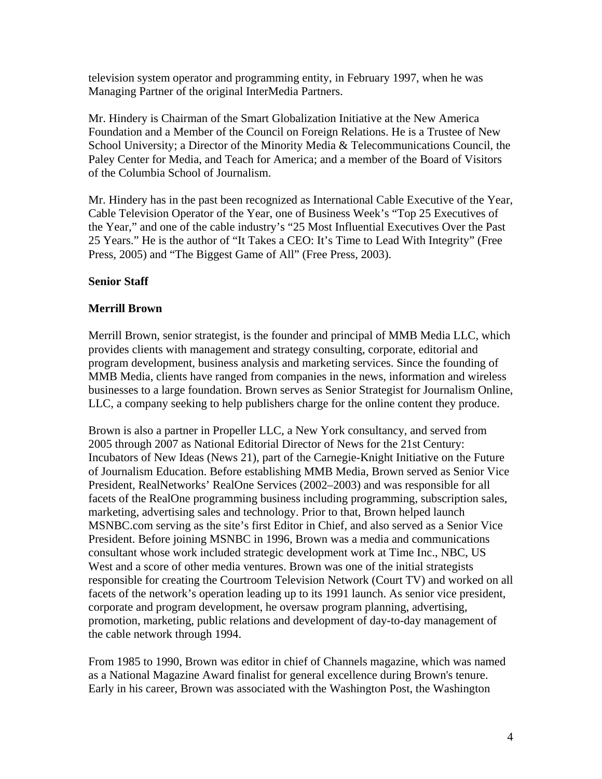television system operator and programming entity, in February 1997, when he was Managing Partner of the original InterMedia Partners.

Mr. Hindery is Chairman of the Smart Globalization Initiative at the New America Foundation and a Member of the Council on Foreign Relations. He is a Trustee of New School University; a Director of the Minority Media & Telecommunications Council, the Paley Center for Media, and Teach for America; and a member of the Board of Visitors of the Columbia School of Journalism.

Mr. Hindery has in the past been recognized as International Cable Executive of the Year, Cable Television Operator of the Year, one of Business Week's "Top 25 Executives of the Year," and one of the cable industry's "25 Most Influential Executives Over the Past 25 Years." He is the author of "It Takes a CEO: It's Time to Lead With Integrity" (Free Press, 2005) and "The Biggest Game of All" (Free Press, 2003).

### **Senior Staff**

### **Merrill Brown**

Merrill Brown, senior strategist, is the founder and principal of MMB Media LLC, which provides clients with management and strategy consulting, corporate, editorial and program development, business analysis and marketing services. Since the founding of MMB Media, clients have ranged from companies in the news, information and wireless businesses to a large foundation. Brown serves as Senior Strategist for Journalism Online, LLC, a company seeking to help publishers charge for the online content they produce.

Brown is also a partner in Propeller LLC, a New York consultancy, and served from 2005 through 2007 as National Editorial Director of News for the 21st Century: Incubators of New Ideas (News 21), part of the Carnegie-Knight Initiative on the Future of Journalism Education. Before establishing MMB Media, Brown served as Senior Vice President, RealNetworks' RealOne Services (2002–2003) and was responsible for all facets of the RealOne programming business including programming, subscription sales, marketing, advertising sales and technology. Prior to that, Brown helped launch MSNBC.com serving as the site's first Editor in Chief, and also served as a Senior Vice President. Before joining MSNBC in 1996, Brown was a media and communications consultant whose work included strategic development work at Time Inc., NBC, US West and a score of other media ventures. Brown was one of the initial strategists responsible for creating the Courtroom Television Network (Court TV) and worked on all facets of the network's operation leading up to its 1991 launch. As senior vice president, corporate and program development, he oversaw program planning, advertising, promotion, marketing, public relations and development of day-to-day management of the cable network through 1994.

From 1985 to 1990, Brown was editor in chief of Channels magazine, which was named as a National Magazine Award finalist for general excellence during Brown's tenure. Early in his career, Brown was associated with the Washington Post, the Washington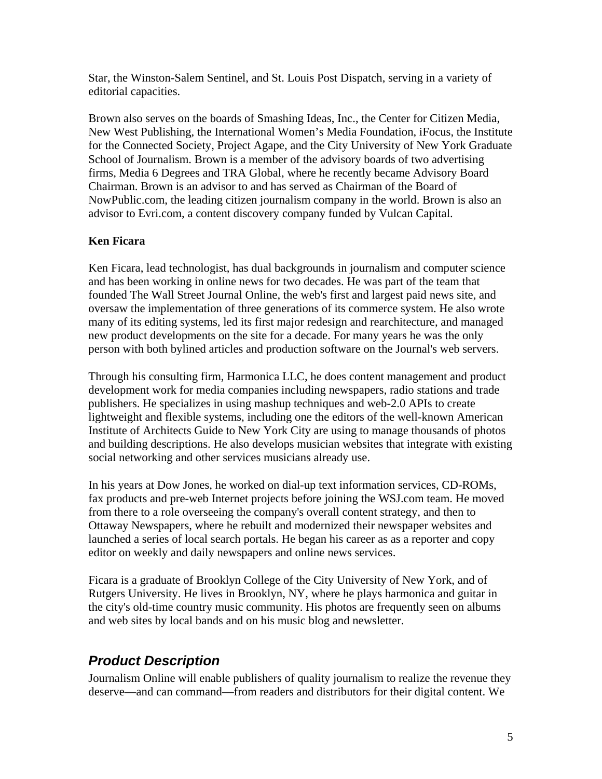Star, the Winston-Salem Sentinel, and St. Louis Post Dispatch, serving in a variety of editorial capacities.

Brown also serves on the boards of Smashing Ideas, Inc., the Center for Citizen Media, New West Publishing, the International Women's Media Foundation, iFocus, the Institute for the Connected Society, Project Agape, and the City University of New York Graduate School of Journalism. Brown is a member of the advisory boards of two advertising firms, Media 6 Degrees and TRA Global, where he recently became Advisory Board Chairman. Brown is an advisor to and has served as Chairman of the Board of NowPublic.com, the leading citizen journalism company in the world. Brown is also an advisor to Evri.com, a content discovery company funded by Vulcan Capital.

### **Ken Ficara**

Ken Ficara, lead technologist, has dual backgrounds in journalism and computer science and has been working in online news for two decades. He was part of the team that founded The Wall Street Journal Online, the web's first and largest paid news site, and oversaw the implementation of three generations of its commerce system. He also wrote many of its editing systems, led its first major redesign and rearchitecture, and managed new product developments on the site for a decade. For many years he was the only person with both bylined articles and production software on the Journal's web servers.

Through his consulting firm, Harmonica LLC, he does content management and product development work for media companies including newspapers, radio stations and trade publishers. He specializes in using mashup techniques and web-2.0 APIs to create lightweight and flexible systems, including one the editors of the well-known American Institute of Architects Guide to New York City are using to manage thousands of photos and building descriptions. He also develops musician websites that integrate with existing social networking and other services musicians already use.

In his years at Dow Jones, he worked on dial-up text information services, CD-ROMs, fax products and pre-web Internet projects before joining the WSJ.com team. He moved from there to a role overseeing the company's overall content strategy, and then to Ottaway Newspapers, where he rebuilt and modernized their newspaper websites and launched a series of local search portals. He began his career as as a reporter and copy editor on weekly and daily newspapers and online news services.

Ficara is a graduate of Brooklyn College of the City University of New York, and of Rutgers University. He lives in Brooklyn, NY, where he plays harmonica and guitar in the city's old-time country music community. His photos are frequently seen on albums and web sites by local bands and on his music blog and newsletter.

# *Product Description*

Journalism Online will enable publishers of quality journalism to realize the revenue they deserve—and can command—from readers and distributors for their digital content. We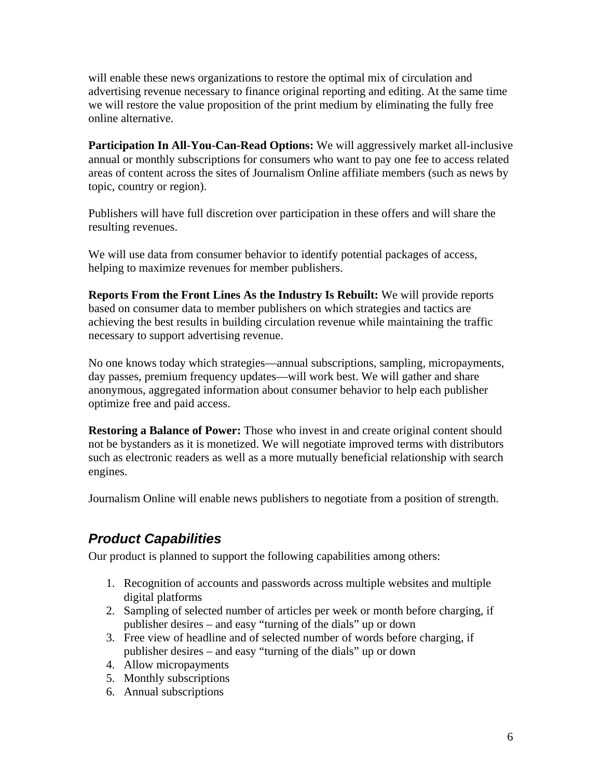will enable these news organizations to restore the optimal mix of circulation and advertising revenue necessary to finance original reporting and editing. At the same time we will restore the value proposition of the print medium by eliminating the fully free online alternative.

**Participation In All-You-Can-Read Options:** We will aggressively market all-inclusive annual or monthly subscriptions for consumers who want to pay one fee to access related areas of content across the sites of Journalism Online affiliate members (such as news by topic, country or region).

Publishers will have full discretion over participation in these offers and will share the resulting revenues.

We will use data from consumer behavior to identify potential packages of access, helping to maximize revenues for member publishers.

**Reports From the Front Lines As the Industry Is Rebuilt:** We will provide reports based on consumer data to member publishers on which strategies and tactics are achieving the best results in building circulation revenue while maintaining the traffic necessary to support advertising revenue.

No one knows today which strategies—annual subscriptions, sampling, micropayments, day passes, premium frequency updates—will work best. We will gather and share anonymous, aggregated information about consumer behavior to help each publisher optimize free and paid access.

**Restoring a Balance of Power:** Those who invest in and create original content should not be bystanders as it is monetized. We will negotiate improved terms with distributors such as electronic readers as well as a more mutually beneficial relationship with search engines.

Journalism Online will enable news publishers to negotiate from a position of strength.

# *Product Capabilities*

Our product is planned to support the following capabilities among others:

- 1. Recognition of accounts and passwords across multiple websites and multiple digital platforms
- 2. Sampling of selected number of articles per week or month before charging, if publisher desires – and easy "turning of the dials" up or down
- 3. Free view of headline and of selected number of words before charging, if publisher desires – and easy "turning of the dials" up or down
- 4. Allow micropayments
- 5. Monthly subscriptions
- 6. Annual subscriptions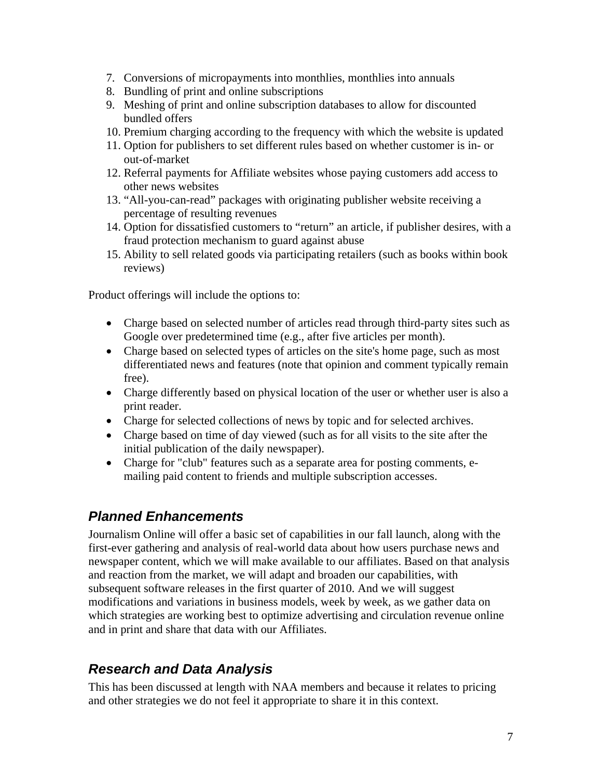- 7. Conversions of micropayments into monthlies, monthlies into annuals
- 8. Bundling of print and online subscriptions
- 9. Meshing of print and online subscription databases to allow for discounted bundled offers
- 10. Premium charging according to the frequency with which the website is updated
- 11. Option for publishers to set different rules based on whether customer is in- or out-of-market
- 12. Referral payments for Affiliate websites whose paying customers add access to other news websites
- 13. "All-you-can-read" packages with originating publisher website receiving a percentage of resulting revenues
- 14. Option for dissatisfied customers to "return" an article, if publisher desires, with a fraud protection mechanism to guard against abuse
- 15. Ability to sell related goods via participating retailers (such as books within book reviews)

Product offerings will include the options to:

- Charge based on selected number of articles read through third-party sites such as Google over predetermined time (e.g., after five articles per month).
- Charge based on selected types of articles on the site's home page, such as most differentiated news and features (note that opinion and comment typically remain free).
- Charge differently based on physical location of the user or whether user is also a print reader.
- Charge for selected collections of news by topic and for selected archives.
- Charge based on time of day viewed (such as for all visits to the site after the initial publication of the daily newspaper).
- Charge for "club" features such as a separate area for posting comments, emailing paid content to friends and multiple subscription accesses.

## *Planned Enhancements*

Journalism Online will offer a basic set of capabilities in our fall launch, along with the first-ever gathering and analysis of real-world data about how users purchase news and newspaper content, which we will make available to our affiliates. Based on that analysis and reaction from the market, we will adapt and broaden our capabilities, with subsequent software releases in the first quarter of 2010. And we will suggest modifications and variations in business models, week by week, as we gather data on which strategies are working best to optimize advertising and circulation revenue online and in print and share that data with our Affiliates.

# *Research and Data Analysis*

This has been discussed at length with NAA members and because it relates to pricing and other strategies we do not feel it appropriate to share it in this context.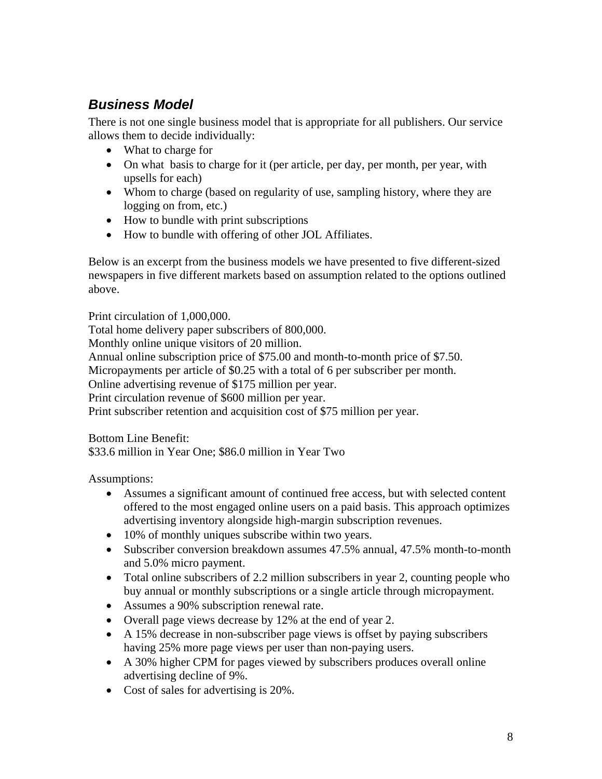# *Business Model*

There is not one single business model that is appropriate for all publishers. Our service allows them to decide individually:

- What to charge for
- On what basis to charge for it (per article, per day, per month, per year, with upsells for each)
- Whom to charge (based on regularity of use, sampling history, where they are logging on from, etc.)
- How to bundle with print subscriptions
- How to bundle with offering of other JOL Affiliates.

Below is an excerpt from the business models we have presented to five different-sized newspapers in five different markets based on assumption related to the options outlined above.

Print circulation of 1,000,000. Total home delivery paper subscribers of 800,000. Monthly online unique visitors of 20 million. Annual online subscription price of \$75.00 and month-to-month price of \$7.50. Micropayments per article of \$0.25 with a total of 6 per subscriber per month. Online advertising revenue of \$175 million per year. Print circulation revenue of \$600 million per year. Print subscriber retention and acquisition cost of \$75 million per year.

Bottom Line Benefit:

\$33.6 million in Year One; \$86.0 million in Year Two

Assumptions:

- Assumes a significant amount of continued free access, but with selected content offered to the most engaged online users on a paid basis. This approach optimizes advertising inventory alongside high-margin subscription revenues.
- 10% of monthly uniques subscribe within two years.
- Subscriber conversion breakdown assumes 47.5% annual, 47.5% month-to-month and 5.0% micro payment.
- Total online subscribers of 2.2 million subscribers in year 2, counting people who buy annual or monthly subscriptions or a single article through micropayment.
- Assumes a 90% subscription renewal rate.
- Overall page views decrease by 12% at the end of year 2.
- A 15% decrease in non-subscriber page views is offset by paying subscribers having 25% more page views per user than non-paying users.
- A 30% higher CPM for pages viewed by subscribers produces overall online advertising decline of 9%.
- Cost of sales for advertising is 20%.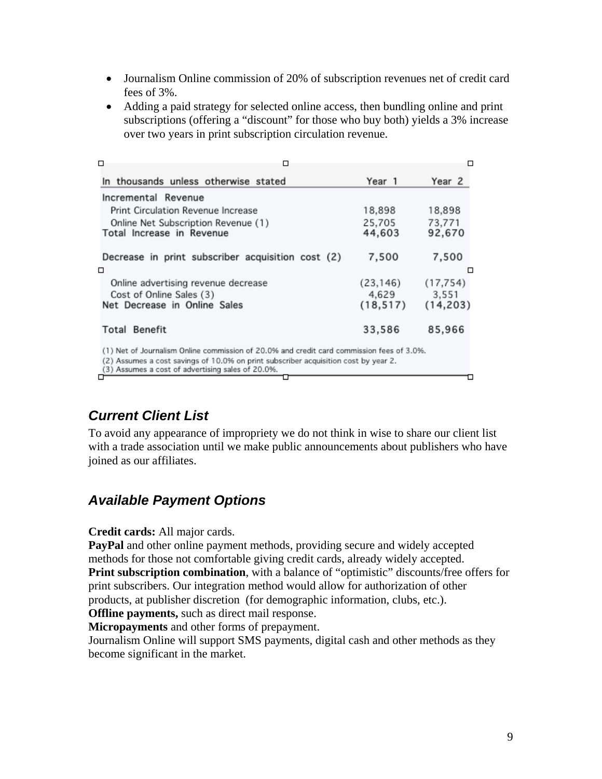- Journalism Online commission of 20% of subscription revenues net of credit card fees of 3%.
- Adding a paid strategy for selected online access, then bundling online and print subscriptions (offering a "discount" for those who buy both) yields a 3% increase over two years in print subscription circulation revenue.

| □<br>□                                                                                                                                                                                                                                |                  | □                |
|---------------------------------------------------------------------------------------------------------------------------------------------------------------------------------------------------------------------------------------|------------------|------------------|
| In thousands unless otherwise stated                                                                                                                                                                                                  | Year 1           | Year 2           |
| Incremental Revenue                                                                                                                                                                                                                   |                  |                  |
| Print Circulation Revenue Increase                                                                                                                                                                                                    | 18.898           | 18,898           |
| Online Net Subscription Revenue (1)<br>Total Increase in Revenue                                                                                                                                                                      | 25.705<br>44,603 | 73.771<br>92,670 |
| Decrease in print subscriber acquisition cost (2)<br>□                                                                                                                                                                                | 7,500            | 7,500<br>□       |
| Online advertising revenue decrease                                                                                                                                                                                                   | (23, 146)        | (17, 754)        |
| Cost of Online Sales (3)                                                                                                                                                                                                              | 4.629            | 3.551            |
| Net Decrease in Online Sales                                                                                                                                                                                                          | (18, 517)        | (14, 203)        |
| <b>Total Benefit</b>                                                                                                                                                                                                                  | 33,586           | 85,966           |
| (1) Net of Journalism Online commission of 20.0% and credit card commission fees of 3.0%.<br>(2) Assumes a cost savings of 10.0% on print subscriber acquisition cost by year 2.<br>(3) Assumes a cost of advertising sales of 20.0%. |                  |                  |
| □                                                                                                                                                                                                                                     |                  |                  |

# *Current Client List*

To avoid any appearance of impropriety we do not think in wise to share our client list with a trade association until we make public announcements about publishers who have joined as our affiliates.

# *Available Payment Options*

**Credit cards:** All major cards.

**PayPal** and other online payment methods, providing secure and widely accepted methods for those not comfortable giving credit cards, already widely accepted. **Print subscription combination**, with a balance of "optimistic" discounts/free offers for print subscribers. Our integration method would allow for authorization of other products, at publisher discretion (for demographic information, clubs, etc.).

**Offline payments,** such as direct mail response.

**Micropayments** and other forms of prepayment.

Journalism Online will support SMS payments, digital cash and other methods as they become significant in the market.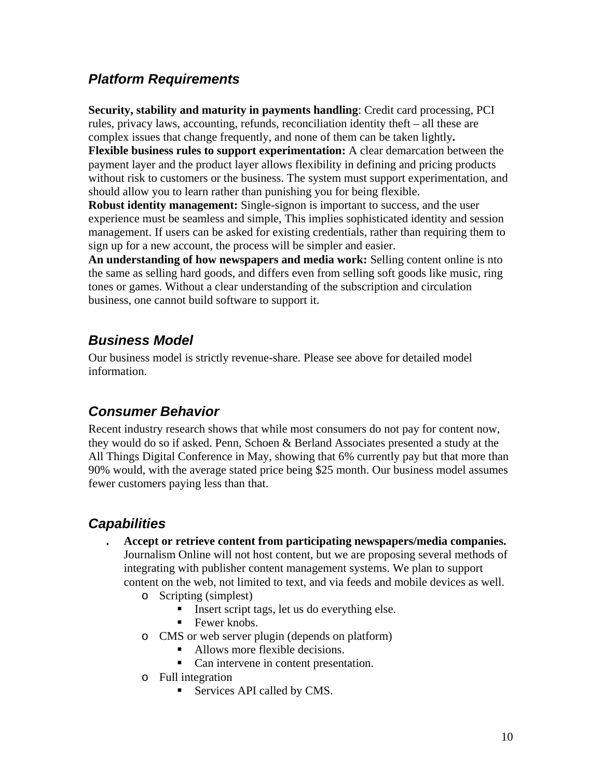## *Platform Requirements*

**Security, stability and maturity in payments handling**: Credit card processing, PCI rules, privacy laws, accounting, refunds, reconciliation identity theft – all these are complex issues that change frequently, and none of them can be taken lightly**. Flexible business rules to support experimentation:** A clear demarcation between the payment layer and the product layer allows flexibility in defining and pricing products without risk to customers or the business. The system must support experimentation, and should allow you to learn rather than punishing you for being flexible.

**Robust identity management:** Single-signon is important to success, and the user experience must be seamless and simple, This implies sophisticated identity and session management. If users can be asked for existing credentials, rather than requiring them to sign up for a new account, the process will be simpler and easier.

**An understanding of how newspapers and media work:** Selling content online is nto the same as selling hard goods, and differs even from selling soft goods like music, ring tones or games. Without a clear understanding of the subscription and circulation business, one cannot build software to support it.

## *Business Model*

Our business model is strictly revenue-share. Please see above for detailed model information.

## *Consumer Behavior*

Recent industry research shows that while most consumers do not pay for content now, they would do so if asked. Penn, Schoen & Berland Associates presented a study at the All Things Digital Conference in May, showing that 6% currently pay but that more than 90% would, with the average stated price being \$25 month. Our business model assumes fewer customers paying less than that.

# *Capabilities*

- **. Accept or retrieve content from participating newspapers/media companies.**  Journalism Online will not host content, but we are proposing several methods of integrating with publisher content management systems. We plan to support content on the web, not limited to text, and via feeds and mobile devices as well.
	- o Scripting (simplest)
		- Insert script tags, let us do everything else.
		- $\blacksquare$  Fewer knobs.
	- o CMS or web server plugin (depends on platform)
		- Allows more flexible decisions.
		- Can intervene in content presentation.
	- o Full integration
		- Services API called by CMS.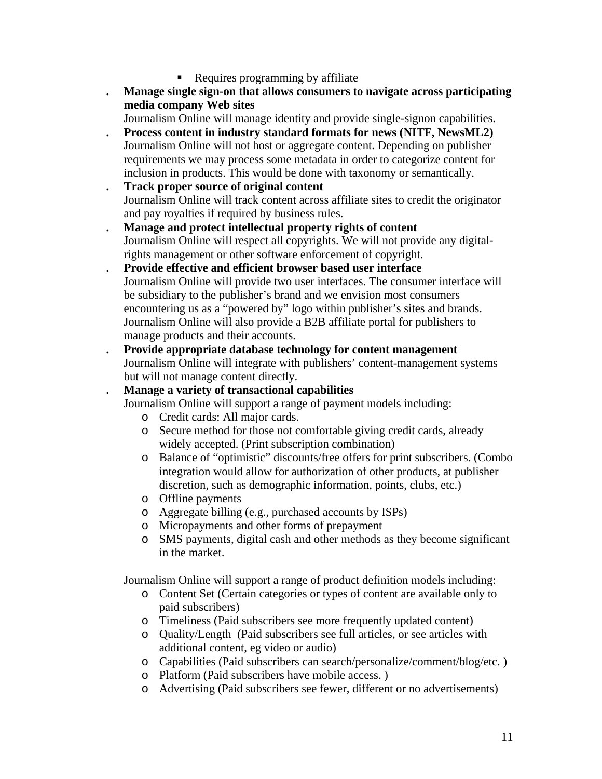- Requires programming by affiliate
- **. Manage single sign-on that allows consumers to navigate across participating media company Web sites**

Journalism Online will manage identity and provide single-signon capabilities.

- **. Process content in industry standard formats for news (NITF, NewsML2)**  Journalism Online will not host or aggregate content. Depending on publisher requirements we may process some metadata in order to categorize content for inclusion in products. This would be done with taxonomy or semantically.
- **. Track proper source of original content** Journalism Online will track content across affiliate sites to credit the originator and pay royalties if required by business rules.
- **. Manage and protect intellectual property rights of content**  Journalism Online will respect all copyrights. We will not provide any digitalrights management or other software enforcement of copyright.
- **. Provide effective and efficient browser based user interface**  Journalism Online will provide two user interfaces. The consumer interface will be subsidiary to the publisher's brand and we envision most consumers encountering us as a "powered by" logo within publisher's sites and brands. Journalism Online will also provide a B2B affiliate portal for publishers to manage products and their accounts.
- **. Provide appropriate database technology for content management**  Journalism Online will integrate with publishers' content-management systems but will not manage content directly.

### **. Manage a variety of transactional capabilities**

Journalism Online will support a range of payment models including:

- o Credit cards: All major cards.
- o Secure method for those not comfortable giving credit cards, already widely accepted. (Print subscription combination)
- o Balance of "optimistic" discounts/free offers for print subscribers. (Combo integration would allow for authorization of other products, at publisher discretion, such as demographic information, points, clubs, etc.)
- o Offline payments
- o Aggregate billing (e.g., purchased accounts by ISPs)
- o Micropayments and other forms of prepayment
- o SMS payments, digital cash and other methods as they become significant in the market.

Journalism Online will support a range of product definition models including:

- o Content Set (Certain categories or types of content are available only to paid subscribers)
- o Timeliness (Paid subscribers see more frequently updated content)
- o Quality/Length (Paid subscribers see full articles, or see articles with additional content, eg video or audio)
- o Capabilities (Paid subscribers can search/personalize/comment/blog/etc. )
- o Platform (Paid subscribers have mobile access. )
- o Advertising (Paid subscribers see fewer, different or no advertisements)